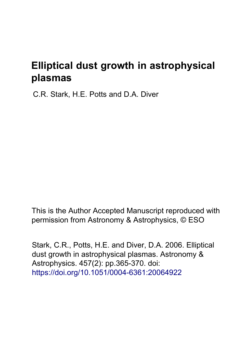# **Elliptical dust growth in astrophysical plasmas**

C.R. Stark, H.E. Potts and D.A. Diver

This is the Author Accepted Manuscript reproduced with permission from Astronomy & Astrophysics, © ESO

Stark, C.R., Potts, H.E. and Diver, D.A. 2006. Elliptical dust growth in astrophysical plasmas. Astronomy & Astrophysics. 457(2): pp.365-370. doi: <https://doi.org/10.1051/0004-6361:20064922>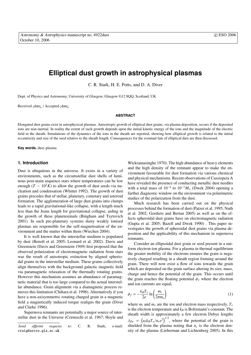# **Elliptical dust growth in astrophysical plasmas**

C. R. Stark, H. E. Potts, and D. A. Diver

Dept. of Physics and Astronomy, University of Glasgow, Glasgow G12 8QQ, Scotland, UK

Received ¡date¿ / Accepted ¡date¿

#### **ABSTRACT**

Elongated dust grains exist in astrophysical plasmas. Anisotropic growth of elliptical dust grains, via plasma deposition, occurs if the deposited ions are non-inertial. In reality the extent of such growth depends upon the initial kinetic energy of the ions and the magnitude of the electric field in the sheath. Simulations of the dynamics of the ions in the sheath are reported, showing how elliptical growth is related to the initial eccentricity and size of the seed relative to the sheath length. Consequences for the eventual fate of elliptical dust are then discussed.

**Key words.** dust–plasma

## **1. Introduction**

Dust is ubiquitous in the universe. It exists in a variety of environments, such as the circumstellar dust shells of luminous post-main sequence stars where temperatures can be low enough ( $T \sim 10^2 K$ ) to allow the growth of dust seeds via nucleation and condensation (Whittet 1992). The growth of dust grains precedes that of stellar, planetary, cometary and asteroid formation. The agglomeration of large dust grains into clumps leads to a rapid gravitational-like collapse, with a length much less than the Jeans length for gravitational collapse, aiding in the growth of these planetesimals (Bingham and Tsytovich 2001). In such pre-planetary systems dusty weakly ionised plasmas are responsible for the self-magnetisation of the environment and the matter within them (Wiechen 2004).

It is well known that the interstellar medium is populated by dust (Benoît et al. 2005; Leonard et al. 2002). Davis and Greenstein (Davis and Greenstein 1949) first proposed that the observed polarization of electromagnetic radiation from stars was the result of anisotropic extinction by aligned spheriodal grains in the interstellar medium. These grains collectively align themselves with the background galactic magnetic field via paramagnetic relaxation of the thermally rotating grains. However this mechanism assumes an abundance of paramagnetic material that is too large compared to the actual interstellar abundance. Grain alignment via a diamagnetic process removes this limitation (Chihara et al. 1998). Alternatively if you have a non-axisymmetric rotating charged grain in a magnetic field a magnetically induced torque realigns the grain (Diver and Clarke 1996).

Supernova remnants are potentially a major source of interstellar dust in the Universe (Cernuschi et al. 1967; Hoyle and

Wickramasinghe 1970). The high abundance of heavy elements and the high density of the remnant appear to make the environment favourable for dust formation via various chemical and physical mechanisms. Recent observations of Cassiopeia A have revealed the presence of conducting metallic dust needles with a total mass of  $10^{-4}$  to  $10^{-3}M_{\odot}$  (Dwek 2004) opening a further diagnostic window on the environment via polarimetric studies of the polarization from the dust.

Much research has been carried out on the physical processes behind the formation of dust (Patzer et al. 1995; Nuth et al. 2002; Gordiets and Bertan 2005) as well as on the effects spheroidal dust grains have on electromagnetic radiation (Gupta et al. 2005; Bazell and Dwek 1990) . This paper investigates the growth of spheroidal dust grains via plasma deposition and the applicability of this mechanism in supernova remnants.

Consider an ellipsoidal dust grain or seed present in a uniform electron-ion plasma. For a plasma in thermal equilibrium the greater mobility of the electrons ensures the grain is negatively charged resulting in a sheath region forming around the grain. There will now exist a flow of ions towards the grain which are deposited on the grain surface altering its size, mass, charge and hence the potential of the grain. This occurs until the grain reaches the floating potential  $\phi_f$  where the electron and ion currents are equal,

$$
\phi_f = -\frac{k_B T_e}{2e} \ln \left( \frac{m_i}{2\pi m_e} \right) \tag{1}
$$

where  $m_i$  and  $m_e$  are the ion and electron mass respectively,  $T_e$ is the electron temperature and  $k_B$  is Boltzmann's constant. The sheath width is approximately a few electron Debye lengths  $\lambda_{De}$  =  $\frac{v}{4}$  $\epsilon_0 k_B T_e / n_e e^2 \Big)^{1/2}$ , where the potential of the grain is shielded from the plasma noting that  $n_e$  is the electron density of the plasma (Lieberman and Lichtenberg 2005). In this

*Send o*ff*print requests to*: C. R. Stark, e-mail: craig@astro.gla.ac.uk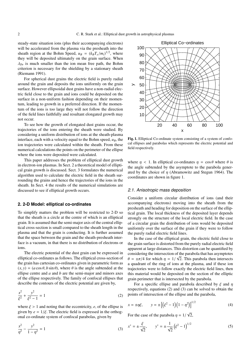steady-state situation ions (plus their accompanying electrons) will be accelerated from the plasma via the presheath into the sheath region at the Bohm Speed,  $u_B = (k_B T_e / m_i)^{1/2}$ , where they will be deposited ultimately on the grain surface. When  $\lambda_{De}$  is much smaller than the ion mean free path, the Bohm criterion is necessary for the shielding by a stationary sheath (Riemann 1991).

For spherical dust grains the electric field is purely radial around the grain and deposits the ions uniformly on the grain surface. However ellipsoidal dust grains have a non-radial electric field close to the grain and ions could be deposited on the surface in a non-uniform fashion depending on their momentum, leading to growth in a preferred direction. If the momentum of the ions is too large they will not follow the direction of the field lines faithfully and resultant elongated growth may not occur.

To see how the growth of elongated dust grains occur, the trajectories of the ions entering the sheath were studied. By considering a uniform distribution of ions at the sheath-plasma interface, each with a velocity equal to the Bohm speed,  $u_B$ , the ion trajectories were calculated within the sheath. From these numerical calculations the points on the perimeter of the ellipse where the ions were deposited were calculated.

This paper addresses the problem of elliptical dust growth in electron-ion plasmas. In Sect. 2 a theoretical model of elliptical grain growth is discussed. Sect. 3 formulates the numerical algorithm used to calculate the electric field in the sheath surrounding the grains and hence the trajectories of the ions in the sheath. In Sect. 4 the results of the numerical simulations are discussed to see if elliptical growth occurs.

#### **2. 2-D Model: elliptical co-ordinates**

To simplify matters the problem will be restricted to 2-D so that the sheath is a circle at the centre of which is an elliptical grain. It is assumed that the semi-major axis of the central elliptical cross-section is small compared to the sheath length in the plasma and that the grain is conducting. It is further assumed that the space between the grain and the sheath-presheath interface is a vacuum, in that there is no distribution of electrons or ions.

The electric potential of the dust grain can be expressed in elliptical co-ordinates as follows. The elliptical cross-section of the grain has cartesian co-ordinates given in parametric form as  $(x, y) = (a \cos \theta, b \sin \theta)$ , where  $\theta$  is the angle subtended at the ellipse centre and *a* and *b* are the semi-major and minors axes of the ellipse respectively. The family of confocal ellipses that describe the contours of the electric potential are given by,

$$
\frac{x^2}{\xi^2} + \frac{y^2}{\xi^2 - 1} = 1\tag{2}
$$

where  $\xi > 1$  and noting that the eccentricity, *e*, of the ellipse is given by  $e = 1/\xi$ . The electric field is expressed in the orthogonal co-ordinate system of confocal parabolas, given by

$$
\frac{x^2}{\eta^2} - \frac{y^2}{1 - \eta^2} = 1\tag{3}
$$



Fig. 1. Elliptical Co-ordinate system consisting of a system of confocal ellipses and parabolas which represents the electric potential and field respectively.

where  $\eta$  < 1. In elliptical co-ordinates  $\eta = \cos \theta$  where  $\theta$  is the angle subtended by the asymptote to the parabola generated by the choice of  $\eta$  (Abramowitz and Stegun 1964). The coordinates are shown in figure 1.

#### 2.1. Anisotropic mass deposition

Consider a uniform circular distribution of ions (and their accompanying electrons) moving into the sheath from the presheath and heading for deposition on the surface of the elliptical grain. The local thickness of the deposited layer depends strongly on the structure of the local electric field. In the case of a circular grain the distribution of ions would be deposited uniformly over the surface of the grain if they were to follow the purely radial electric field lines.

In the case of the elliptical grain, the electric field close to the grain surface is distorted from the purely radial electric field apparent at large distances. This distortion can be quantified by considering the intersection of the parabola that has asymptotes  $\theta = \pm \pi/4$  for which  $\eta = 1/\sqrt{2}$ . This parabola then intersects a quadrant of the ring of ions at the plasma, and if these ion trajectories were to follow exactly the electric field lines, then this material would be deposited on the section of the elliptic grain perimeter that is intersected by the parabola.

For a specific ellipse and parabola described by  $\xi$  and  $\eta$ respectively, equations (2) and (3) can be solved to obtain the points of intersection of the ellipse and the parabola,

$$
x = \pm \eta \xi, \qquad y = \pm \left[ \left( \xi^2 - 1 \right) \left( 1 - \eta^2 \right) \right]^{1/2} \tag{4}
$$

For the case of the parabola  $\eta = 1/$ 2,

$$
x^* = \pm \frac{\xi}{\sqrt{2}}, \qquad y^* = \pm \frac{1}{\sqrt{2}} (\xi^2 - 1)^{1/2}
$$
 (5)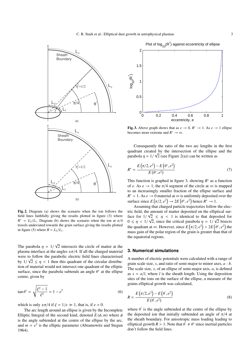C. R. Stark et al.: Elliptical dust growth in astrophysical plasmas 3



Fig. 2. Diagram (a) shows the scenario when the ion follows the field lines faithfully giving the results plotted in figure (3) where  $R^* = L_2/L_1$ . Diagram (b) shows the scenario when the ion at  $\pi/4$ travels undeviated towards the grain surface giving the results plotted in figure (5) where  $R = L_2/L_1$ .

The parabola  $\eta = 1/$ √ 2 intersects the circle of matter at the plasma interface at the angles  $\pm \pi/4$ . If all the charged material were to follow the parabolic electric field lines characterised by  $1/\sqrt{2} \leq \eta < 1$  then this quadrant of the circular distribution of material would not intersect one quadrant of the elliptic surface, since the parabola subtends an angle  $\theta^*$  at the ellipse centre, given by

$$
\tan \theta^* = \sqrt{\frac{\xi^2 - 1}{\xi^2}} = 1 - e^2 \tag{6}
$$

which is only  $\pm \pi/4$  if  $\xi = 1/e \gg 1$ , that is, if  $e \approx 0$ .

The arc length around an ellipse is given by the Incomplete Elliptic Integral of the second kind, denoted  $E(\phi, m)$  where  $\phi$ is the angle subtended at the centre of the ellipse by the arc, and  $m = e^2$  is the elliptic parameter (Abramowitz and Stegun 1964).



Fig. 3. Above graph shows that as  $e \to 0$ ,  $R^* \to 1$ . As  $e \to 1$  ellipse becomes more extreme and  $R^* \to \infty$ .

Consequently the ratio of the two arc lengths in the first quadrant created by the intersection of the ellipse and the parabola  $\eta = 1/\sqrt{2}$  (see Figure 2(a)) can be written as

$$
R^* = \frac{E(\pi/2, e^2) - E(\theta^*, e^2)}{E(\theta^*, e^2)}
$$
(7)

This function is graphed in figure 3, showing  $R^*$  as a function of *e*. As  $e \rightarrow 1$ , the  $\pi/4$  segment of the circle at  $\infty$  is mapped to an increasingly smaller fraction of the ellipse surface and  $R^* > 1$ . As  $e \to 0$  material at  $\infty$  is uniformly deposited over the surface since  $E(\pi/2, e^2) \to 2E(\theta^*, e^2)$  hence  $R^* \to 1$ .

Assuming that charged particle trajectories follow the electric field, the amount of matter deposited on the elliptical surface for  $1/\sqrt{2} \leq \eta < 1$  is identical to that deposited for  $0 \leq \eta < 1/$ √ 2, since the critical parabola  $\eta = 1/2$ √ rabola  $\eta = 1/\sqrt{2}$  bisects the quadrant at  $\infty$ . However, since  $E(\pi/2, e^2) > 2E(\theta^*, e^2)$  the mass gain of the polar region of the grain is greater than that of the equatorial regions.

# **3. Numerical simulations**

A number of electric potentials were calculated with a range of grain scale size, *s*, and ratio of semi-major to minor axes, *a* : *b*. The scale size, *s*, of an ellipse of semi-major axis, *a*, is defined as  $s = a/l$ , where *l* is the sheath length. Using the deposition sites of the ions on the surface of the ellipse, a measure of the grains elliptical growth was calculated,

$$
R = \frac{E(\pi/2, e^2) - E(\theta', e^2)}{E(\theta', e^2)}
$$
(8)

where  $\theta'$  is the angle subtended at the centre of the ellipse by the deposited ion that initially subtended an angle of  $\pi/4$  at the sheath boundary. For anisotropic mass loading leading to elliptical growth  $R > 1$ . Note that  $\hat{\theta} \neq \theta^*$  since inertial particles don't follow the field lines.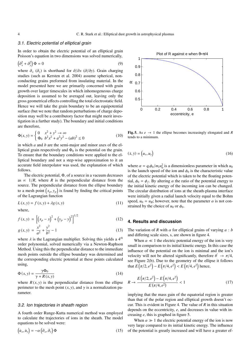# 3.1. Electric potential of elliptical grain

In order to obtain the electric potential of an elliptical grain Poisson's equation in two dimensions was solved numerically,

$$
\left(\partial_x^2 + \partial_y^2\right)\Phi = 0\tag{9}
$$

where  $\partial_x$  ( $\partial_y$ ) is shorthand for  $\partial/\partial x$  ( $\partial/\partial y$ ). Grain charging studies (such as Kersten et al. 2004) assume spherical, nonconducting grains preformed from insulating material. In the model presented here we are primarily concerned with grain growth over larger timescales in which inhomogeneous charge deposition is assumed to be averaged out, leaving only the gross geometrical effects controlling the total electrostatic field. Hence we will take the grain boundary to be an equipotential surface (but we note that random perturbations of charge deposition may well be a contributory factor that might merit investigation in a further study). The boundary and initial conditions are therefore,

$$
\Phi(x, y) = \begin{cases} 0 & x^2 + y^2 \to \infty \\ \Phi_0 & b^2 x^2 + a^2 y^2 - (ab)^2 \le 0 \end{cases}
$$
(10)

in which *a* and *b* are the semi-major and minor axes of the elliptical grain respectively and  $\Phi_0$  is the potential on the grain. To ensure that the boundary conditions were applied to the elliptical boundary and not a step-wise approximation to it an accurate field interpolator was used, the explanation of which follows.

The electric potential, Φ, of a source in a vacuum decreases as  $\alpha$  1/*R*, where *R* is the perpendicular distance from the source. The perpendicular distance from the ellipse boundary source. The perpendicular distance from the empse boundary<br>to a mesh point  $(x_p, y_p)$  is found by finding the critical points of the Lagrangian function

$$
L(x, y) = f(x, y) + \lambda g(x, y)
$$
\n<sup>(11)</sup>

where,

$$
f(x, y) = \left[ \left( x_p - x \right)^2 + \left( y_p - y \right)^2 \right]^{1/2}
$$
 (12)

$$
g(x, y) = \frac{x^2}{a^2} + \frac{y^2}{b^2} - 1
$$
\n(13)

where  $\lambda$  is the Lagrangian multiplier. Solving this yields a  $4<sup>th</sup>$ order polynomial, solved numerically via a Newton-Raphson Method. Using this the perpendicular distance to the immediate mesh points outside the ellipse boundary was determined and the corresponding electric potential at these points calculated using,

$$
\Phi(x, y) = \frac{\gamma \Phi_0}{\gamma + R(x, y)}
$$
\n(14)

where  $R(x, y)$  is the perpendicular distance from the ellipse perimeter to the mesh point  $(x, y)$ , and  $\gamma$  is a normalization parameter.

#### 3.2. Ion trajectories in sheath region

A fourth order Runge-Kutta numerical method was employed to calculate the trajectories of ions in the sheath. The model equations to be solved were:

$$
\left(\dot{u}_x, \dot{u}_y\right) = -\alpha \left(\partial_x, \partial_y\right) \Phi \tag{15}
$$



Fig. 5. As  $e \rightarrow 1$  the ellipse becomes increasingly elongated and *R* tends to a minimum.

$$
(\dot{x}, \dot{y}) = (u_x, u_y) \tag{16}
$$

where  $\alpha = q_i \phi_0 / m_i u_0^2$  is a dimensionless parameter in which  $u_0$ is the launch speed of the ion and  $\phi_0$  is the characteristic value of the electric potential which is taken to be the floating potential,  $\phi_0 = \phi_f$ . By altering  $\alpha$  the ratio of the potential energy to the initial kinetic energy of the incoming ion can be changed. The circular distribution of ions at the sheath-plasma interface were initially given a radial launch velocity equal to the Bohm speed,  $u_0 = u_B$ ; however, note that the parameter  $\alpha$  is not constrained by the choice of  $u_0$  or  $\phi_0$ .

# **4. Results and discussion**

The variation of *R* with  $\alpha$  for elliptical grains of varying  $a : b$ and differing scale sizes, s, are shown in figure 4.

When  $\alpha \ll 1$  the electric potential energy of the ion is very small in comparison to its initial kinetic energy. In this case the influence of the potential on the ion is minimal and the ion's velocity will not be altered significantly, therefore  $\theta' \to \pi/4$ , see Figure 2(b). Due to the geometry of the ellipse it follows that  $E(\pi/2, e^2) - E(\pi/4, e^2) < E(\pi/4, e^2)$  hence,

$$
R \to \frac{E(\pi/2, e^2) - E(\pi/4, e^2)}{E(\pi/4, e^2)} < 1 \tag{17}
$$

implying that the mass gain of the equatorial region is greater than that of the polar region and elliptical growth doesn't occur. This is evident in Figure 4. The value of *R* in this situation depends on the eccentricity, *e*, and decreases in value with increasing *e*, this is graphed in figure 5.

When  $\alpha \gg 1$  the electric potential energy of the ion is now very large compared to its initial kinetic energy. The influence of the potential is greatly increased and will have a greater ef-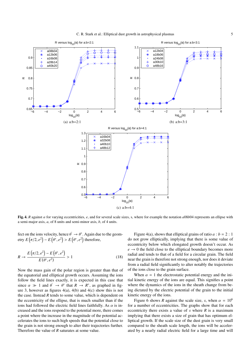

Fig. 4. *R* against  $\alpha$  for varying eccentricities, *e*, and for several scale sizes, s, where for example the notation  $a08b04$  represents an ellipse with a semi-major axis, *a*, of 8 units and semi-minor axis, *b*, of 4 units.

fect on the ions velocity, hence  $\theta' \to \theta^*$ . Again due to the geometry  $E(\pi/2, e^2) - E(\theta^*, e^2) > E(\theta^*, e^2)$  therefore,

$$
R \to \frac{E(\pi/2, e^2) - E(\theta^*, e^2)}{E(\theta^*, e^2)} > 1
$$
 (18)

Now the mass gain of the polar region is greater than that of the equatorial and elliptical growth occurs. Assuming the ions follow the field lines exactly, it is expected in this case that since  $\alpha \gg 1$  and  $\theta' \rightarrow \theta^*$  that  $R \rightarrow R^*$ , as graphed in figure 3, however as figures  $4(a)$ ,  $4(b)$  and  $4(c)$  show this is not the case. Instead *R* tends to some value, which is dependent on the eccentricity of the ellipse, that is much smaller than if the ions had followed the electric field lines faithfully. As  $\alpha$  is increased and the ions respond to the potential more, there comes a point where the increase in the magnitude of the potential accelerates the ions to such high speeds that the potential close to the grain is not strong enough to alter their trajectories further. Therefore the value of *R* saturates at some value.

Figure 4(a), shows that elliptical grains of ratio  $a : b = 2 : 1$ do not grow elliptically, implying that there is some value of eccentricity below which elongated growth doesn't occur. As  $e \rightarrow 0$  the field close to the elliptical boundary becomes more radial and tends to that of a field for a circular grain. The field near the grain is therefore not strong enough, nor does it deviate from a radial field significantly to alter notably the trajectories of the ions close to the grain surface.

When  $\alpha = 1$  the electrostatic potential energy and the initial kinetic energy of the ions are equal. This signifies a point where the dynamics of the ions in the sheath change from being dictated by the electric potential of the grain to the initial kinetic energy of the ions.

Figure 6 shows *R* against the scale size, *s*, when  $\alpha = 10^6$ for a number of eccentricities. The graphs show that for each eccentricity there exists a value of *s* where *R* is a maximum implying that there exists a size of grain that has optimum elliptical growth. If the scale size of the dust grain is very small compared to the sheath scale length, the ions will be accelerated by a nearly radial electric field for a large time and will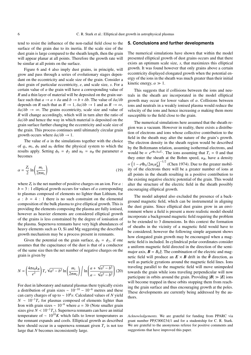tend to resist the influence of the non-radial field close to the surface of the grain due to its inertia. If the scale size of the dust grain is large compared to the sheath length, then the grain will appear planar at all points. Therefore the growth rate will be similar at all points on the surface.

Figure 6 and 4 also imply dust grains, in principle, will grow and pass through a series of evolutionary stages dependant on the eccentricity and scale size of the grain. Consider a dust grain of particular eccentricity, *e*, and scale size, *s*. For a certain value of  $\alpha$  the grain will have a corresponding value of *R* and a thin layer of material will be deposited on the grain surface such that  $a \to a + \delta a$  and  $b \to b + \delta b$ . The value of  $\delta a/\delta b$ depends on *R* such that as  $R \to 1$ ,  $\delta a/\delta b \to 1$  and as  $R \to \infty$ ,  $\delta a/\delta b \rightarrow \infty$ . The grains eccentricity, scale size and value of *R* will change accordingly, which will in turn alter the ratio of δ*a*/δ*b* and hence the way in which material is deposited on the grain surface further changing the eccentricity and scale size of the grain. This process continues until ultimately circular grain growth occurs where  $\delta a/\delta b \rightarrow 1$ .

The value of  $\alpha$  in the simulations together with the choice of  $q_i$ ,  $m_i$ ,  $\phi_0$  and  $u_0$  define the physical system to which the results apply. Setting  $\phi_0 = \phi_f$  and  $u_0 = u_B$  the parameter  $\alpha$ becomes

$$
\alpha = \frac{Z_i}{2} \ln \left( \frac{m_i}{2\pi m_e} \right) \tag{19}
$$

where  $Z_i$  is the net number of positive charges on an ion. For  $a$ :  $b = 3$ : 1 elliptical growth occurs for values of  $\alpha$  corresponding to plasmas composed of elements no lighter than Lithium, for  $a : b = 4 : 1$  there is no such constraint on the elemental composition of the bulk plasma to give elliptical growth. This is providing the elements composing the plasma are fully ionised, however as heavier elements are considered elliptical growth of the grains is less constrained by the degree of ionisation of the plasma. Supernova remnants have very high abundances of heavy elements such as O, Si and Mg suggesting the described growth mechanism may be a process present in remnants.

Given the potential on the grain surface,  $\phi_0 = \phi_f$ , if one assumes that the capacitance of the dust is that of a conductor of the same size then the net number of negative charges on the grain is given by

$$
N = \left(\frac{4\pi\epsilon_0 k_B}{e^2}\right) T_e \sqrt{a^2 - b^2} \ln\left(\frac{m_i}{2\pi m_e}\right) \ln\left(\frac{a + \sqrt{a^2 - b^2}}{a - \sqrt{a^2 - b^2}}\right)
$$
(20)

For dust in laboratory and natural plasmas there typically exists a distribution of grain sizes  $\sim 10^{-10} - 10^{-6}$  metres and these can carry charges of up to ∼ 10<sup>6</sup> *e*. Calculated values of *N* yield  $N \sim 10^{-1}T_e$  for plasmas composed of elements lighter than Iron with grain sizes  $\sim 10^{-6}$  where  $a = 3b$  (Note smaller grain sizes give  $N < 10^{-1}T_e$ ). Supernova remnants can have an initial temperature of  $\sim 10^{10} K$  which falls to lower temperatures as the remnant expands and cools. Elliptical growth as described here should occur in a supernova remnant given  $T_e$  is not too large that *N* becomes inconsistently large.

# **5. Conclusions and further developments**

The numerical simulations have shown that within the model presented elliptical growth of dust grains occurs and that there exists an optimum scale size, *s*, that maximizes this elliptical growth. It was found however that only grains above a certain eccentricity displayed elongated growth when the potential energy of the ions in the sheath was much greater than their initial kinetic energy,  $\alpha \gg 1$ .

This suggests that if collisions between the ions and neutrals in the sheath are incorporated in the model elliptical growth may occur for lower values of  $\alpha$ . Collisions between ions and neutrals in a weakly ionised plasma would reduce the velocity of the ions and hence increasing  $\alpha$  making them more susceptible to the field close to the grain.

The numerical simulations here assumed that the sheath region was a vacuum. However in reality, there exists a distribution of electrons and ions whose collective contribution to the field in the sheath may alter the nature of the grain's growth. The electron density in the sheath region would be described by the Boltzmann relation, assuming isothermal electrons, and would be  $\propto e^{e\Phi_0/k_B T_e}$ . The ions assuming that  $T_i = 0$  and that they enter the sheath at the Bohm speed,  $u_B$ , have a density ∝  $\frac{1}{2}$  $1 - e\Phi_0/2m_i u_B^2$  $\int_{0}^{-1/2}$  (Chen 1974). Due to the greater mobility of the electrons there will be a greater number of ions at all points in the sheath resulting in a positive contribution to the existing negative electric potential of the grain. This would alter the structure of the electric field in the sheath possibly encouraging elliptical growth.

The model adopted also excluded the presence of a background magnetic field, which can be instrumental in aligning the dust grains. Since elliptical dust grains grow in an environment where a field is present a more realistic model should incorporate a background magnetic field requiring the problem to be extended to 3 dimensions. In this context the formation of sheaths in the vicinity of a magnetic field would have to be considered; however the following simple argument shows how elongated grain growth may be encouraged when a magnetic field is included. In cylindrical polar coordinates consider a uniform magnetic field directed in the direction of the semimajor axis,  $\mathbf{B} = B_0 \hat{z}$ . The combination of the electric and magnetic field will produce an  $E \times B$  drift in the  $\hat{\theta}$  direction, as well as particle gyrations around the magnetic field lines. Ions traveling parallel to the magnetic field will move unimpeded towards the grain while ions traveling perpendicular will now participate in orbits around the grain. Providing  $|B| \gg |E|$  ions will become trapped in these orbits stopping them from reaching the grain surface and thus encouraging growth at the poles. These developments are currently being addressed by the authors.

*Acknowledgements.* We are grateful for funding from PPARC via grant number PP/C000234/1 and for a studentship for C. R. Stark. We are grateful to the anonymous referee for positive comments and suggestions that have improved this paper.